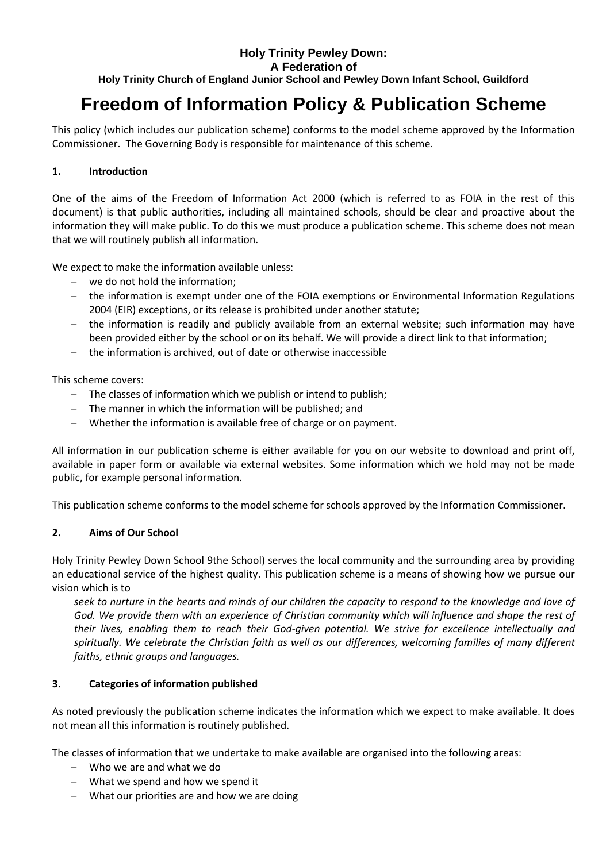## **Holy Trinity Pewley Down: A Federation of Holy Trinity Church of England Junior School and Pewley Down Infant School, Guildford**

# **Freedom of Information Policy & Publication Scheme**

This policy (which includes our publication scheme) conforms to the model scheme approved by the Information Commissioner. The Governing Body is responsible for maintenance of this scheme.

## **1. Introduction**

One of the aims of the Freedom of Information Act 2000 (which is referred to as FOIA in the rest of this document) is that public authorities, including all maintained schools, should be clear and proactive about the information they will make public. To do this we must produce a publication scheme. This scheme does not mean that we will routinely publish all information.

We expect to make the information available unless:

- we do not hold the information;
- the information is exempt under one of the FOIA exemptions or Environmental Information Regulations 2004 (EIR) exceptions, or its release is prohibited under another statute;
- the information is readily and publicly available from an external website; such information may have been provided either by the school or on its behalf. We will provide a direct link to that information;
- the information is archived, out of date or otherwise inaccessible

This scheme covers:

- The classes of information which we publish or intend to publish;
- The manner in which the information will be published; and
- Whether the information is available free of charge or on payment.

All information in our publication scheme is either available for you on our website to download and print off, available in paper form or available via external websites. Some information which we hold may not be made public, for example personal information.

This publication scheme conforms to the model scheme for schools approved by the Information Commissioner.

## **2. Aims of Our School**

Holy Trinity Pewley Down School 9the School) serves the local community and the surrounding area by providing an educational service of the highest quality. This publication scheme is a means of showing how we pursue our vision which is to

*seek to nurture in the hearts and minds of our children the capacity to respond to the knowledge and love of God. We provide them with an experience of Christian community which will influence and shape the rest of their lives, enabling them to reach their God-given potential. We strive for excellence intellectually and spiritually. We celebrate the Christian faith as well as our differences, welcoming families of many different faiths, ethnic groups and languages.*

## **3. Categories of information published**

As noted previously the publication scheme indicates the information which we expect to make available. It does not mean all this information is routinely published.

The classes of information that we undertake to make available are organised into the following areas:

- Who we are and what we do
- What we spend and how we spend it
- What our priorities are and how we are doing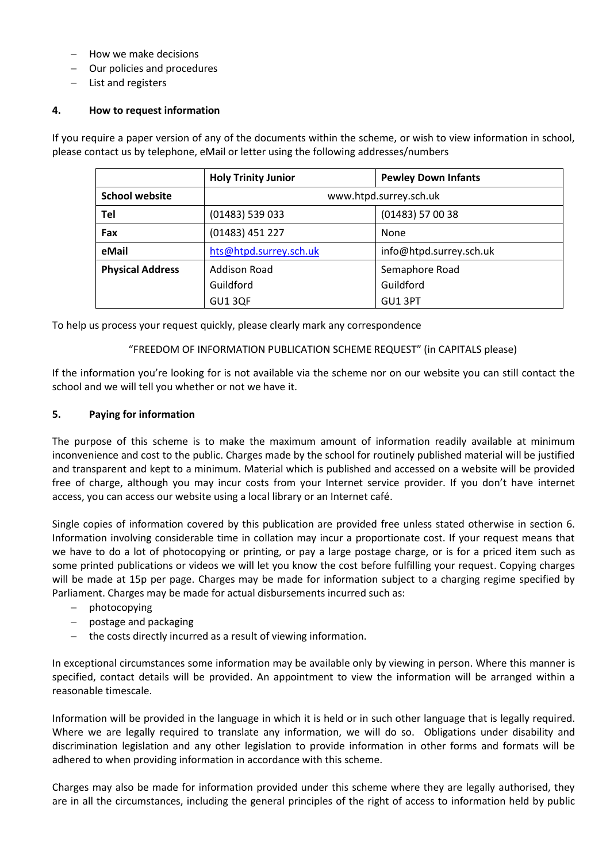- How we make decisions
- Our policies and procedures
- $-$  List and registers

### **4. How to request information**

If you require a paper version of any of the documents within the scheme, or wish to view information in school, please contact us by telephone, eMail or letter using the following addresses/numbers

|                         | <b>Holy Trinity Junior</b> | <b>Pewley Down Infants</b> |
|-------------------------|----------------------------|----------------------------|
| <b>School website</b>   | www.htpd.surrey.sch.uk     |                            |
| Tel                     | (01483) 539 033            | $(01483)$ 57 00 38         |
| Fax                     | (01483) 451 227            | None                       |
| eMail                   | hts@htpd.surrey.sch.uk     | info@htpd.surrey.sch.uk    |
| <b>Physical Address</b> | Addison Road               | Semaphore Road             |
|                         | Guildford                  | Guildford                  |
|                         | GU13QF                     | GU1 3PT                    |

To help us process your request quickly, please clearly mark any correspondence

#### "FREEDOM OF INFORMATION PUBLICATION SCHEME REQUEST" (in CAPITALS please)

If the information you're looking for is not available via the scheme nor on our website you can still contact the school and we will tell you whether or not we have it.

#### **5. Paying for information**

The purpose of this scheme is to make the maximum amount of information readily available at minimum inconvenience and cost to the public. Charges made by the school for routinely published material will be justified and transparent and kept to a minimum. Material which is published and accessed on a website will be provided free of charge, although you may incur costs from your Internet service provider. If you don't have internet access, you can access our website using a local library or an Internet café.

Single copies of information covered by this publication are provided free unless stated otherwise in section 6. Information involving considerable time in collation may incur a proportionate cost. If your request means that we have to do a lot of photocopying or printing, or pay a large postage charge, or is for a priced item such as some printed publications or videos we will let you know the cost before fulfilling your request. Copying charges will be made at 15p per page. Charges may be made for information subject to a charging regime specified by Parliament. Charges may be made for actual disbursements incurred such as:

- photocopying
- $-$  postage and packaging
- $-$  the costs directly incurred as a result of viewing information.

In exceptional circumstances some information may be available only by viewing in person. Where this manner is specified, contact details will be provided. An appointment to view the information will be arranged within a reasonable timescale.

Information will be provided in the language in which it is held or in such other language that is legally required. Where we are legally required to translate any information, we will do so. Obligations under disability and discrimination legislation and any other legislation to provide information in other forms and formats will be adhered to when providing information in accordance with this scheme.

Charges may also be made for information provided under this scheme where they are legally authorised, they are in all the circumstances, including the general principles of the right of access to information held by public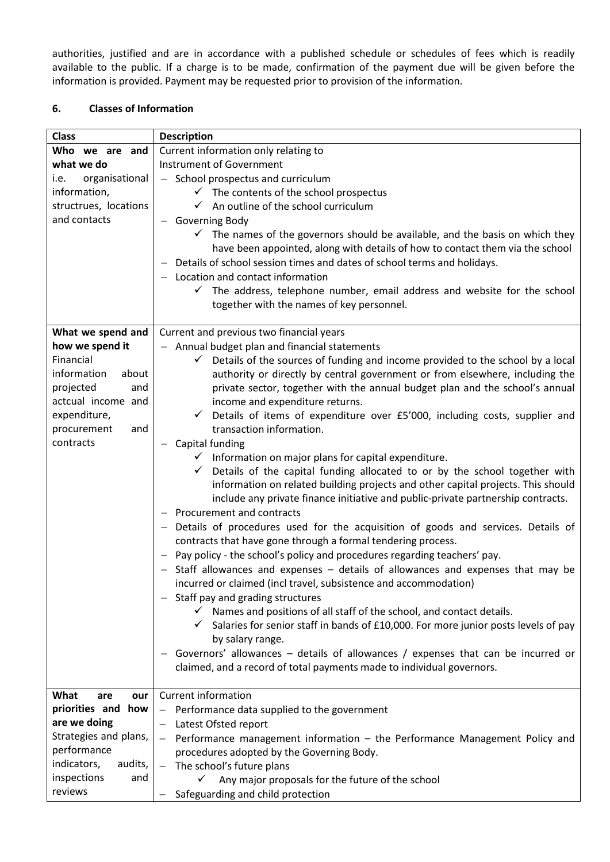authorities, justified and are in accordance with a published schedule or schedules of fees which is readily available to the public. If a charge is to be made, confirmation of the payment due will be given before the information is provided. Payment may be requested prior to provision of the information.

## **6. Classes of Information**

| <b>Class</b>           | <b>Description</b>                                                                                   |  |
|------------------------|------------------------------------------------------------------------------------------------------|--|
| Who we are and         | Current information only relating to                                                                 |  |
| what we do             | <b>Instrument of Government</b>                                                                      |  |
| organisational<br>i.e. | - School prospectus and curriculum                                                                   |  |
| information,           | $\checkmark$ The contents of the school prospectus                                                   |  |
| structrues, locations  | $\checkmark$ An outline of the school curriculum                                                     |  |
| and contacts           | - Governing Body                                                                                     |  |
|                        | $\checkmark$ The names of the governors should be available, and the basis on which they             |  |
|                        | have been appointed, along with details of how to contact them via the school                        |  |
|                        | Details of school session times and dates of school terms and holidays.                              |  |
|                        | $-$ Location and contact information                                                                 |  |
|                        | $\checkmark$ The address, telephone number, email address and website for the school                 |  |
|                        | together with the names of key personnel.                                                            |  |
|                        |                                                                                                      |  |
| What we spend and      | Current and previous two financial years                                                             |  |
| how we spend it        | - Annual budget plan and financial statements                                                        |  |
| Financial              | $\checkmark$ Details of the sources of funding and income provided to the school by a local          |  |
| information<br>about   | authority or directly by central government or from elsewhere, including the                         |  |
| projected<br>and       | private sector, together with the annual budget plan and the school's annual                         |  |
| actcual income and     | income and expenditure returns.                                                                      |  |
| expenditure,           | $\checkmark$ Details of items of expenditure over £5'000, including costs, supplier and              |  |
| procurement<br>and     | transaction information.                                                                             |  |
| contracts              | Capital funding                                                                                      |  |
|                        | $\checkmark$ Information on major plans for capital expenditure.                                     |  |
|                        | $\checkmark$ Details of the capital funding allocated to or by the school together with              |  |
|                        | information on related building projects and other capital projects. This should                     |  |
|                        | include any private finance initiative and public-private partnership contracts.                     |  |
|                        | Procurement and contracts                                                                            |  |
|                        | - Details of procedures used for the acquisition of goods and services. Details of                   |  |
|                        | contracts that have gone through a formal tendering process.                                         |  |
|                        | Pay policy - the school's policy and procedures regarding teachers' pay.<br>$\overline{\phantom{0}}$ |  |
|                        | - Staff allowances and expenses - details of allowances and expenses that may be                     |  |
|                        | incurred or claimed (incl travel, subsistence and accommodation)                                     |  |
|                        | Staff pay and grading structures                                                                     |  |
|                        | $\checkmark$ Names and positions of all staff of the school, and contact details.                    |  |
|                        | $\checkmark$ Salaries for senior staff in bands of £10,000. For more junior posts levels of pay      |  |
|                        | by salary range.                                                                                     |  |
|                        | Governors' allowances – details of allowances / expenses that can be incurred or                     |  |
|                        | claimed, and a record of total payments made to individual governors.                                |  |
|                        |                                                                                                      |  |
| What<br>are<br>our     | <b>Current information</b>                                                                           |  |
| priorities and how     | - Performance data supplied to the government                                                        |  |
| are we doing           | Latest Ofsted report                                                                                 |  |
| Strategies and plans,  | Performance management information - the Performance Management Policy and<br>$\qquad \qquad -$      |  |
| performance            | procedures adopted by the Governing Body.                                                            |  |
| indicators,<br>audits, | The school's future plans                                                                            |  |
| inspections<br>and     | Any major proposals for the future of the school                                                     |  |
| reviews                | Safeguarding and child protection                                                                    |  |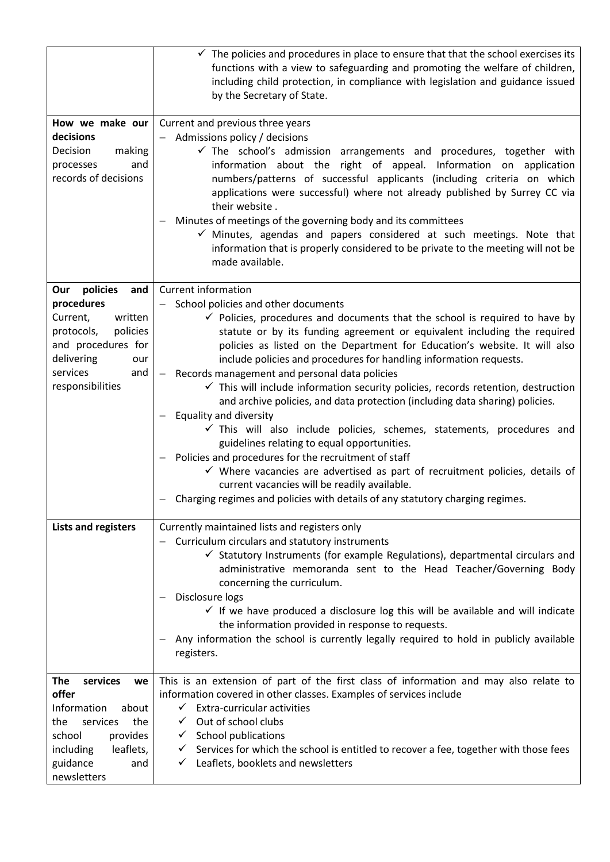|                                                                                                                                                                      | $\checkmark$ The policies and procedures in place to ensure that that the school exercises its<br>functions with a view to safeguarding and promoting the welfare of children,<br>including child protection, in compliance with legislation and guidance issued<br>by the Secretary of State.                                                                                                                                                                                                                                                                                                                                                                                                                                                                                                                                                                                                                                                                                                                                                                                          |
|----------------------------------------------------------------------------------------------------------------------------------------------------------------------|-----------------------------------------------------------------------------------------------------------------------------------------------------------------------------------------------------------------------------------------------------------------------------------------------------------------------------------------------------------------------------------------------------------------------------------------------------------------------------------------------------------------------------------------------------------------------------------------------------------------------------------------------------------------------------------------------------------------------------------------------------------------------------------------------------------------------------------------------------------------------------------------------------------------------------------------------------------------------------------------------------------------------------------------------------------------------------------------|
| How we make our<br>decisions<br>Decision<br>making<br>and<br>processes<br>records of decisions                                                                       | Current and previous three years<br>- Admissions policy / decisions<br>$\checkmark$ The school's admission arrangements and procedures, together with<br>information about the right of appeal. Information on application<br>numbers/patterns of successful applicants (including criteria on which<br>applications were successful) where not already published by Surrey CC via<br>their website.<br>Minutes of meetings of the governing body and its committees<br>$\checkmark$ Minutes, agendas and papers considered at such meetings. Note that<br>information that is properly considered to be private to the meeting will not be<br>made available.                                                                                                                                                                                                                                                                                                                                                                                                                          |
| Our policies<br>and<br>procedures<br>Current,<br>written<br>policies<br>protocols,<br>and procedures for<br>delivering<br>our<br>services<br>and<br>responsibilities | <b>Current information</b><br>School policies and other documents<br>$\checkmark$ Policies, procedures and documents that the school is required to have by<br>statute or by its funding agreement or equivalent including the required<br>policies as listed on the Department for Education's website. It will also<br>include policies and procedures for handling information requests.<br>- Records management and personal data policies<br>$\checkmark$ This will include information security policies, records retention, destruction<br>and archive policies, and data protection (including data sharing) policies.<br><b>Equality and diversity</b><br>$\checkmark$ This will also include policies, schemes, statements, procedures and<br>guidelines relating to equal opportunities.<br>Policies and procedures for the recruitment of staff<br>$\checkmark$ Where vacancies are advertised as part of recruitment policies, details of<br>current vacancies will be readily available.<br>Charging regimes and policies with details of any statutory charging regimes. |
| Lists and registers                                                                                                                                                  | Currently maintained lists and registers only<br>Curriculum circulars and statutory instruments<br>$\checkmark$ Statutory Instruments (for example Regulations), departmental circulars and<br>administrative memoranda sent to the Head Teacher/Governing Body<br>concerning the curriculum.<br>Disclosure logs<br>$\checkmark$ If we have produced a disclosure log this will be available and will indicate<br>the information provided in response to requests.<br>Any information the school is currently legally required to hold in publicly available<br>registers.                                                                                                                                                                                                                                                                                                                                                                                                                                                                                                             |
| The<br>services<br>we<br>offer<br>Information<br>about<br>services<br>the<br>the<br>provides<br>school<br>leaflets,<br>including<br>guidance<br>and<br>newsletters   | This is an extension of part of the first class of information and may also relate to<br>information covered in other classes. Examples of services include<br>$\checkmark$ Extra-curricular activities<br>$\checkmark$ Out of school clubs<br><b>School publications</b><br>$\checkmark$<br>Services for which the school is entitled to recover a fee, together with those fees<br>$\checkmark$<br>$\checkmark$ Leaflets, booklets and newsletters                                                                                                                                                                                                                                                                                                                                                                                                                                                                                                                                                                                                                                    |